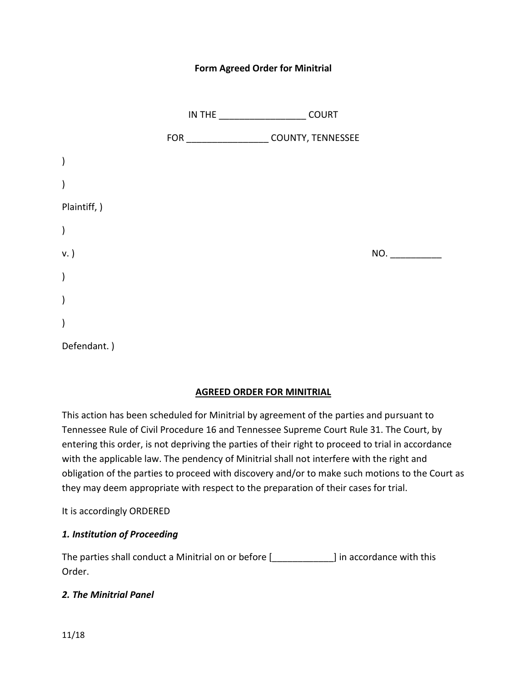### **Form Agreed Order for Minitrial**

|                        | IN THE $\_\_$                                | <b>COURT</b> |     |
|------------------------|----------------------------------------------|--------------|-----|
|                        | FOR _______________________COUNTY, TENNESSEE |              |     |
| $\mathcal{C}^{\prime}$ |                                              |              |     |
| $\lambda$              |                                              |              |     |
| Plaintiff, )           |                                              |              |     |
| $\mathcal{E}$          |                                              |              |     |
| v. )                   |                                              |              | NO. |
| $\lambda$              |                                              |              |     |
| $\mathcal{E}$          |                                              |              |     |
| $\mathcal{E}$          |                                              |              |     |
| Defendant.)            |                                              |              |     |

#### **AGREED ORDER FOR MINITRIAL**

This action has been scheduled for Minitrial by agreement of the parties and pursuant to Tennessee Rule of Civil Procedure 16 and Tennessee Supreme Court Rule 31. The Court, by entering this order, is not depriving the parties of their right to proceed to trial in accordance with the applicable law. The pendency of Minitrial shall not interfere with the right and obligation of the parties to proceed with discovery and/or to make such motions to the Court as they may deem appropriate with respect to the preparation of their cases for trial.

It is accordingly ORDERED

### *1. Institution of Proceeding*

The parties shall conduct a Minitrial on or before [\_\_\_\_\_\_\_\_\_\_\_\_] in accordance with this Order.

#### *2. The Minitrial Panel*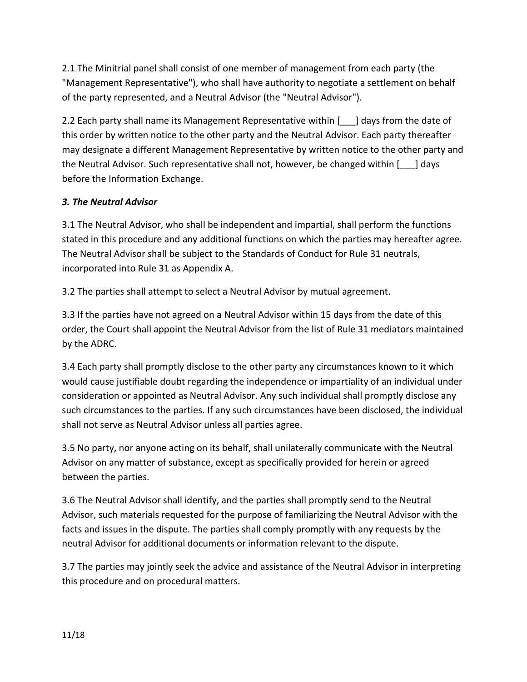2.1 The Minitrial panel shall consist of one member of management from each party (the "Management Representative"), who shall have authority to negotiate a settlement on behalf of the party represented, and a Neutral Advisor (the "Neutral Advisor").

2.2 Each party shall name its Management Representative within [  $\Box$ ] days from the date of this order by written notice to the other party and the Neutral Advisor. Each party thereafter may designate a different Management Representative by written notice to the other party and the Neutral Advisor. Such representative shall not, however, be changed within [\_\_\_] days before the Information Exchange.

# *3. The Neutral Advisor*

3.1 The Neutral Advisor, who shall be independent and impartial, shall perform the functions stated in this procedure and any additional functions on which the parties may hereafter agree. The Neutral Advisor shall be subject to the Standards of Conduct for Rule 31 neutrals, incorporated into Rule 31 as Appendix A.

3.2 The parties shall attempt to select a Neutral Advisor by mutual agreement.

3.3 If the parties have not agreed on a Neutral Advisor within 15 days from the date of this order, the Court shall appoint the Neutral Advisor from the list of Rule 31 mediators maintained by the ADRC.

3.4 Each party shall promptly disclose to the other party any circumstances known to it which would cause justifiable doubt regarding the independence or impartiality of an individual under consideration or appointed as Neutral Advisor. Any such individual shall promptly disclose any such circumstances to the parties. If any such circumstances have been disclosed, the individual shall not serve as Neutral Advisor unless all parties agree.

3.5 No party, nor anyone acting on its behalf, shall unilaterally communicate with the Neutral Advisor on any matter of substance, except as specifically provided for herein or agreed between the parties.

3.6 The Neutral Advisor shall identify, and the parties shall promptly send to the Neutral Advisor, such materials requested for the purpose of familiarizing the Neutral Advisor with the facts and issues in the dispute. The parties shall comply promptly with any requests by the neutral Advisor for additional documents or information relevant to the dispute.

3.7 The parties may jointly seek the advice and assistance of the Neutral Advisor in interpreting this procedure and on procedural matters.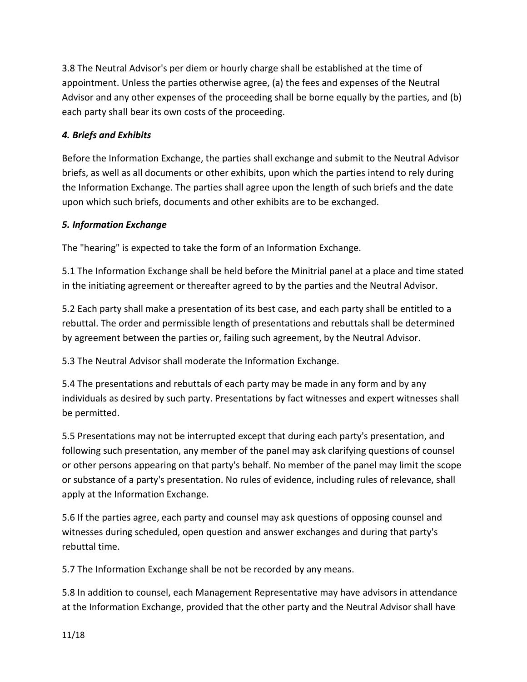3.8 The Neutral Advisor's per diem or hourly charge shall be established at the time of appointment. Unless the parties otherwise agree, (a) the fees and expenses of the Neutral Advisor and any other expenses of the proceeding shall be borne equally by the parties, and (b) each party shall bear its own costs of the proceeding.

# *4. Briefs and Exhibits*

Before the Information Exchange, the parties shall exchange and submit to the Neutral Advisor briefs, as well as all documents or other exhibits, upon which the parties intend to rely during the Information Exchange. The parties shall agree upon the length of such briefs and the date upon which such briefs, documents and other exhibits are to be exchanged.

# *5. Information Exchange*

The "hearing" is expected to take the form of an Information Exchange.

5.1 The Information Exchange shall be held before the Minitrial panel at a place and time stated in the initiating agreement or thereafter agreed to by the parties and the Neutral Advisor.

5.2 Each party shall make a presentation of its best case, and each party shall be entitled to a rebuttal. The order and permissible length of presentations and rebuttals shall be determined by agreement between the parties or, failing such agreement, by the Neutral Advisor.

5.3 The Neutral Advisor shall moderate the Information Exchange.

5.4 The presentations and rebuttals of each party may be made in any form and by any individuals as desired by such party. Presentations by fact witnesses and expert witnesses shall be permitted.

5.5 Presentations may not be interrupted except that during each party's presentation, and following such presentation, any member of the panel may ask clarifying questions of counsel or other persons appearing on that party's behalf. No member of the panel may limit the scope or substance of a party's presentation. No rules of evidence, including rules of relevance, shall apply at the Information Exchange.

5.6 If the parties agree, each party and counsel may ask questions of opposing counsel and witnesses during scheduled, open question and answer exchanges and during that party's rebuttal time.

5.7 The Information Exchange shall be not be recorded by any means.

5.8 In addition to counsel, each Management Representative may have advisors in attendance at the Information Exchange, provided that the other party and the Neutral Advisor shall have